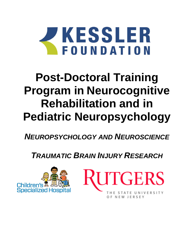

# **Post-Doctoral Training Program in Neurocognitive Rehabilitation and in Pediatric Neuropsychology**

*NEUROPSYCHOLOGY AND NEUROSCIENCE* 

*TRAUMATIC BRAIN INJURY RESEARCH*



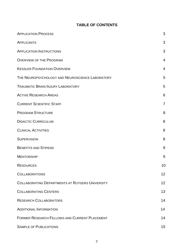# **TABLE OF CONTENTS**

| <b>APPLICATION PROCESS</b>                             | 3              |
|--------------------------------------------------------|----------------|
| APPLICANTS                                             | 3              |
| <b>APPLICATION INSTRUCTIONS</b>                        | 3              |
| <b>OVERVIEW OF THE PROGRAM</b>                         | $\overline{4}$ |
| <b>KESSLER FOUNDATION OVERVIEW</b>                     | $\overline{4}$ |
| THE NEUROPSYCHOLOGY AND NEUROSCIENCE LABORATORY        | 5              |
| <b>TRAUMATIC BRAIN INJURY LABORATORY</b>               | 5              |
| <b>ACTIVE RESEARCH AREAS</b>                           | 6              |
| <b>CURRENT SCIENTIFIC STAFF</b>                        | $\overline{7}$ |
| <b>PROGRAM STRUCTURE</b>                               | 8              |
| <b>DIDACTIC CURRICULUM</b>                             | 8              |
| <b>CLINICAL ACTIVITIES</b>                             | 8              |
| <b>SUPERVISION</b>                                     | 8              |
| <b>BENEFITS AND STIPEND</b>                            | 9              |
| <b>MENTORSHIP</b>                                      | 9              |
| <b>RESOURCES</b>                                       | 10             |
| <b>COLLABORATIONS</b>                                  | 12             |
| <b>COLLABORATING DEPARTMENTS AT RUTGERS UNIVERSITY</b> | 12             |
| <b>COLLABORATING CENTERS</b>                           | 13             |
| <b>RESEARCH COLLABORATORS</b>                          | 14             |
| <b>ADDITIONAL INFORMATION</b>                          | 14             |
| <b>FORMER RESEARCH FELLOWS AND CURRENT PLACEMENT</b>   | 14             |
| <b>SAMPLE OF PUBLICATIONS</b>                          | 15             |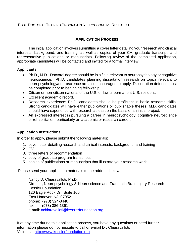## POST-DOCTORAL TRAINING PROGRAM IN NEUROCOGNITIVE RESEARCH

# **APPLICATION PROCESS**

The initial application involves submitting a cover letter detailing your research and clinical interests, background, and training, as well as copies of your CV, graduate transcript, and representative publications or manuscripts. Following review of the completed application, appropriate candidates will be contacted and invited for a formal interview.

## **Applicants**

- Ph.D., M.D.- Doctoral degree should be in a field relevant to neuropsychology or cognitive neuroscience. Ph.D. candidates planning dissertation research on topics relevant to neuropsychology/neuroscience are also encouraged to apply. Dissertation defense must be completed prior to beginning fellowship.
- Citizen or non-citizen national of the U.S. or lawful permanent U.S. resident.
- Excellent academic record.
- Research experience: Ph.D. candidates should be proficient in basic research skills. Strong candidates will have either publications or publishable theses. M.D. candidates should have experience with research at least on the basis of an initial project.
- An expressed interest in pursuing a career in neuropsychology, cognitive neuroscience or rehabilitation, particularly an academic or research career.

## **Application Instructions**

In order to apply, please submit the following materials:

- 1. cover letter detailing research and clinical interests, background, and training
- 2. CV
- 3. three letters of recommendation
- 4. copy of graduate program transcripts
- 5. copies of publications or manuscripts that illustrate your research work

Please send your application materials to the address below:

Nancy D. Chiaravalloti, Ph.D. Director, Neuropsychology & Neuroscience and Traumatic Brain Injury Research Kessler Foundation 120 Eagle Rock Dr., Suite 100 East Hanover, NJ 07052 phone: (973) 324-8440 fax: (973) 386-1361 e-mail: [nchiaravalloti@kesslerfoundation.org](mailto:nchiaravalloti@kesslerfoundation.org)

If at any time during this application process, you have any questions or need further information please do not hesitate to call or e-mail Dr. Chiaravalloti. Visit us at [http://www.kesslerfoundation.org](http://www.kesslerfoundation.org/)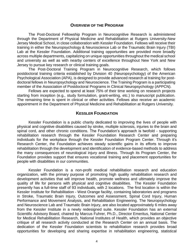#### **OVERVIEW OF THE PROGRAM**

The Post-Doctoral Fellowship Program in Neurocognitive Research is administered through the Department of Physical Medicine and Rehabilitation at Rutgers University-New Jersey Medical School, in close collaboration with Kessler Foundation. Fellows will receive their training in either the Neuropsychology & Neuroscience Lab or the Traumatic Brain Injury (TBI) Lab at the Kessler Foundation. Additional training opportunities are provided more broadly across multiple departments, capitalizing on unique opportunities throughout the medical school and university as well as with nearby centers of excellence throughout New York and New Jersey to pursue key research or clinical training goals.

The Post-Doctoral Training Program in Neurocognitive Research, which follows postdoctoral training criteria established by Division 40 (Neuropsychology) of the American Psychological Association (APA), is designed to provide advanced research al training for postdoctoral fellows in Neuropsychology and Neuroscience. The Training Program is a participating member of the Association of Postdoctoral Programs in Clinical Neuropsychology (APPCN).

Fellows are expected to spend at least 75% of their time working on research projects starting from inception (e.g., study formulation, grant-writing, etc.) to manuscript publication. The remaining time is spent in clinical or other activities. Fellows also receive an academic appointment in the Department of Physical Medicine and Rehabilitation at Rutgers University.

## **KESSLER FOUNDATION**

Kessler Foundation is a public charity dedicated to improving the lives of people with physical and cognitive disabilities caused by stroke, multiple sclerosis, injuries to the brain and spinal cord, and other chronic conditions. The Foundation's approach is twofold - supporting rehabilitation research through the Kessler Foundation Research Center and preparing individuals for the workplace through the Kessler Foundation Program Center. Through it's Research Center, the Foundation achieves steady scientific gains in its efforts to improve rehabilitation through the development and identification of evidence-based methods to address the many consequences of neurological injury and illness. Through its Program Center, the Foundation provides support that ensures vocational training and placement opportunities for people with disabilities in our communities.

Kessler Foundation is a non-profit medical rehabilitation research and education organization, with the primary purpose of promoting high quality rehabilitation research and development activities that will improve health, promote wellness and ultimately improve the quality of life for persons with physical and cognitive disabilities. The Kessler Foundation presently has a full-time staff of 93 individuals, with 2 locations. The first location is within the Kessler Institute for Rehabilitation - West Orange facility, containing laboratories and programs in Stroke, Traumatic Brain Injury, Outcomes and Assessment, Spinal Cord Injury, Human Performance and Movement Analysis, and Rehabilitation Engineering. The Neuropsychology and Neuroscience Lab and Traumatic Brain Injury, are also located approximately 6 miles away from the Kessler Institute in a newly redesigned suite. Kessler Foundation has an external Scientific Advisory Board, chaired by Marcus Fuhrer, Ph.D., Director Emeritus, National Center for Medical Rehabilitation Research, National Institutes of Health, which provides an objective critique of all research activity conducted at the Research Center on an annual basis. The dedication of the Kessler Foundation scientists to rehabilitation research provides broad opportunities for developing and sharing expertise in rehabilitation engineering, statistical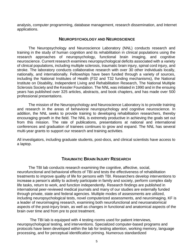analysis, computer programming, database management, research dissemination, and Internet applications.

## **NEUROPSYCHOLOGY AND NEUROSCIENCE**

The Neuropsychology and Neuroscience Laboratory (NNL) conducts research and training in the study of human cognition and its rehabilitation in clinical populations using the research approaches of neuropsychology, functional brain imaging, and cognitive neuroscience. Current research examines neuropsychological deficits associated with a variety of clinical populations, including multiple sclerosis, traumatic brain injury, spinal cord injury, and stroke. The laboratory conducts collaborative research with over 30 other individuals locally, nationally, and internationally. Fellowships have been funded through a variety of sources, including the National Institutes of Health (F32 and T32 funding mechanisms), the National Institute on Disability, Independent Living and Rehabilitation Research, The National Multiple Sclerosis Society and the Kessler Foundation. The NNL was initiated in 1990 and in the ensuing years has published over 325 articles, abstracts, and book chapters, and has made over 500 professional presentations.

The mission of the Neuropsychology and Neuroscience Laboratory is to provide training and research in the areas of behavioral neuropsychology and cognitive neuroscience. In addition, the NNL seeks to provide training to developing rehabilitation researchers, thereby encouraging growth in the field. The NNL is extremely productive in achieving the goals set out from this mission. The rate of publications, presentations at national and international conferences and graduation of trainees continues to grow and expand. The NNL has several multi-year grants to support our research and training activities.

All investigators, including graduate students, post-docs, and clinical scientists have access to a laptop.

## **TRAUMATIC BRAIN INJURY RESEARCH**

The TBI lab conducts research examining the cognitive, affective, social, neurofunctional and behavioral effects of TBI and tests the effectiveness of rehabilitation treatments to improve quality of life for persons with TBI. Researchers develop interventions to increase a person's ability to actively participate in family and society, perform complex daily life tasks, return to work, and function independently. Research findings are published in international peer-reviewed medical journals and many of our studies are externally funded through private, state and federal agencies. Multiple modes of assessments are utilized, including neuropsychological tests, novel computerized assessments, and neuroimaging. KF is a leader of neuroimaging research, examining both neurofunctional and neuroanatomical aspects of the post-injury brain, as well as changes in functional and anatomical aspects of the brain over time and from pre to post treatment.

The TBI lab is equipped with 4 testing rooms used for patient interviews, neuropsychological testing, and interventions. Specialized computer-based programs and protocols have been developed within the lab for testing attention, working memory, language processing, and for perceptual identification priming. Numerous standardized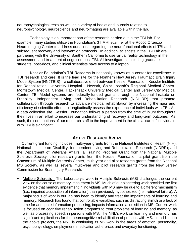neuropsychological tests as well as a variety of books and journals relating to neuropsychology, neuroscience and neuroimaging are available within the lab.

Technology is an important part of the research carried out in the TBI lab. For example, many studies utilize the Foundation's 3T MRI scanner at the Rocco Ortenzio Neuroimaging Center to address questions regarding the neurofunctional effects of TBI and subsequent recovery and intervention protocols. In addition, scientists in the TBI Lab are partnering with the University of Southern California to use virtual reality technology in the assessment and treatment of cognition post-TBI. All investigators, including graduate students, post-docs, and clinical scientists have access to a laptop.

Kessler Foundation's TBI Research is nationally known as a center for excellence in TBI research and care. It is the lead site for the Northern New Jersey Traumatic Brain Injury Model System (NNJTBIS)—a collaborative effort between Kessler Foundation, Kessler Institute for Rehabilitation, University Hospital - Newark, Saint Joseph's Regional Medical Center, Morristown Medical Center, Hackensack University Medical Center and Jersey City Medical Center. TBI Model systems are federally-funded grants through the National Institute on Disability, Independent Living and Rehabilitation Research (NIDILRR) that promote collaboration through research to advance medical rehabilitation by increasing the rigor and efficiency of scientific efforts to longitudinally assess the experience of individuals with TBI. As a data collection site, Kessler Foundation follows a person from the time of injury throughout their lives in an effort to increase our understanding of recovery and long-term outcome. As such, the contributions of our research staff to the improvement in the clinical care of individuals with TBI is significant.

## **ACTIVE RESEARCH AREAS**

Current grant funding includes: multi-year grants from the National Institutes of Health (NIH); National Institute on Disability, Independent Living and Rehabilitation Research (NIDRR); and the Department of Veterans Affairs; a Training Program Grant from the National Multiple Sclerosis Society; pilot research grants from the Kessler Foundation, a pilot grant from the Consortium of Multiple Sclerosis Center, multi-year and pilot research grants from the National MS Society, as well as several multi-year and pilot research grants from the New Jersey Commission for Brain Injury Research.

Multiple Sclerosis - The Laboratory's work in Multiple Sclerosis (MS) challenges the current view on the cause of memory impairment in MS. Much of our pioneering work provided the first evidence that memory impairment in individuals with MS may be due to a different mechanism (i.e., impaired acquisition of information) than previously hypothesized (i.e., retrieval failure). A major focus of work in our lab has been to identify and treat the impairments of learning and memory. Research has found that controllable variables, such as distracting stimuli or a lack of time for adequate information processing, impacts information acquisition in MS. Current work is focused on cognitive rehabilitation programs to treat problems of learning and memory, as well as processing speed, in persons with MS. The NNL's work on learning and memory has significant implications for the neurocognitive rehabilitation of persons with MS. In addition to the above projects, the NNL is continuing its MS work in the areas of emotion, personality, psychophysiology, employment, medication adherence, and everyday functioning.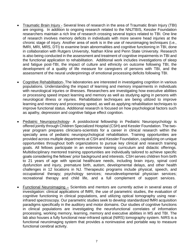- Traumatic Brain Injury Several lines of research in the area of Traumatic Brain Injury (TBI) are ongoing. In addition to ongoing research related to the NNJTBIS, Kessler Foundation researchers maintain a rich line of research crossing several topics related to TBI. One line of research involves memory deficits in individuals with more severe head injuries at the chronic stage of injury. Another area of work is in the use of neuroimaging techniques (i.e., fMRI, MRI, MRS, DTI) to examine brain abnormalities and cognitive functioning in TBI, done in collaboration with Rutgers University, Nathan Kline and Penn State University. Research is also being conducted in the assessment and treatment of cognitive impairments in TBI and the functional application to rehabilitation. Additional work includes investigations of sleep and fatigue post-TBI, the impact of culture and ethnicity on outcome following TBI, the development of a quality of life measure for caregivers of persons with TBI, and the assessment of the neural underpinnings of emotional processing deficits following TBI.
- Cognitive Rehabilitation- The laboratories are interested in investigating cognition in various populations. Understanding the impact of learning and memory impairments in individuals with neurological injuries or illnesses. Researchers are investigating how executive abilities or processing speed impact learning and memory as well as studying aging in persons with neurological illness or injuries. Rehabilitation techniques are being utilized to improve learning and memory and processing speed, as well as applying rehabilitation techniques to improve functional status. Additional research is focused on how psychological factors such as apathy, depression and cognitive fatigue effect cognition.
- Pediatric Neuropsychology- A postdoctoral fellowship in Pediatric Neuropsychology is offered jointly through Children Specialized Hospital (CSH) and Kessler Foundation. The twoyear program prepares clinicians-scientists for a career in clinical research within the specialty area of pediatric neuropsychological rehabilitation. Training opportunities are provided across multiple departments at CSH and Kessler Foundation, capitalizing on unique opportunities throughout both organizations to pursue key clinical and research training goals. All fellows participate in an extensive training curriculum and didactic offerings. Multidisciplinary mentored training opportunities are individually tailored to achieve specific goals considering the fellows' prior background and interests. CSH serves children from birth to 21 years of age with special healthcare needs, including brain injury, spinal cord dysfunction and injury, premature birth, autism, developmental delays, and other health challenges in 12 locations in NJ. Therapeutic programs include physical, speech, and occupational therapy; psychology services; neurodevelopmental physician services; recreational therapy and child life, and a full complement of support services.
- Functional Neuroimaging Scientists and mentors are currently active in several areas of investigation: clinical applications of fMRI, the use of parametric studies, the evaluation of cognitive functioning in clinical populations, and utilizing optical tomography using nearinfrared spectroscopy. Our parametric studies seek to develop standardized fMRI acquisition paradigms specifically in the auditory and motor domains. Our studies of cognitive functions in clinical populations are investigating the neurofunctional correlates of information processing, working memory, learning, memory and executive abilities in MS and TBI. The lab also houses a fully functional near-infrared optical (NIRS) tomography system. NIRS is a functional neuroimaging system that provides a noninvasive and portable way to measure functional cerebral activity.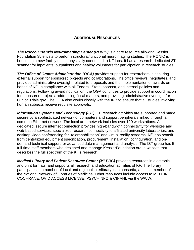# **ADDITIONAL RESOURCES**

**The Rocco Ortenzio Neuroimaging Center (RONIC)** is a core resource allowing Kessler Foundation Scientists to perform structural/functional neuroimaging studies. The RONIC is housed in a new facility that is physically connected to KF labs. It has a research-dedicated 3T scanner for inpatients, outpatients and healthy volunteers for participation in research studies.

**The Office of Grants Administration (OGA)** provides support for researchers in securing external support for sponsored projects and collaborations. The office reviews, negotiates, and provides administrative oversight related to proposals and the implementation of awards on behalf of KF, in compliance with all Federal, State, sponsor, and internal policies and regulations. Following award notification, the OGA continues to provide support in coordination for sponsored projects, addressing fiscal matters, and providing administrative oversight for ClinicalTrials.gov. The OGA also works closely with the IRB to ensure that all studies involving human subjects receive requisite approvals.

**Information Systems and Technology (IST).** KF research activities are supported and made secure by a sophisticated network of computers and support peripherals linked through a common Ethernet network. The local area network includes over 120 workstations. A dedicated, secure internet connection provides high-bandwidth connectivity for websites and web-based services; specialized research connectivity to affiliated university laboratories; and desktop video conferencing for "telerehabilitation" and virtual reality research. KF labs benefit from centralized equipment specification, procurement, installation, configuration, and ondemand technical support for advanced data management and analysis. The IST group has 5 full-time staff members who designed and manage KesslerFoundation.org, a website that describes the full spectrum of the KF's research.

*Medical Library and Patient Resource Center (MLPRC)* provides resources in electronic and print formats, and supports all research and education activities of KF. The library participates in a number of local and regional interlibrary loan consortia, and is a member of the National Network of Libraries of Medicine. Other resources include access to MEDLINE, COCHRANE, OVID ACCESS LICENSE, PSYCHINFO & CINAHL via the WWW.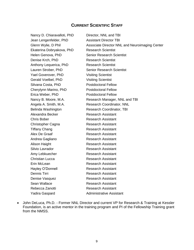## **CURRENT SCIENTIFIC STAFF**

Nancy D. Chiaravalloti, PhD Jean Lengenfelder, PhD Glenn Wylie, D Phil Ekaterina Dobryakova, PhD Helen Genova, PhD Denise Krch, PhD Anthony Lequerica, PhD Lauren Strober, PhD Yael Goverover, PhD Gerald Voelbel, PhD Silvana Costa, PhD Cherylynn Marino, PhD Erica Weber, PhD Nancy B. Moore, M.A. Angela A. Smith, M.A. Belinda Washington Alexandra Becker Chris Bober Christopher Cagna Tiffany Chang Alex De Graaf Andrea Gagliano Alison Haight Silvio Lavrador Amy Lebkuecher Christian Lucca Erin McLean Hayley O'Donnell Dennis Tirri Denise Vasquez Sean Wallace Rebecca Zanotti Yadira Gaspard

Director, NNL and TBI Assistant Director TBI Associate Director NNL and Neuroimaging Center Research Scientist Senior Research Scientist Research Scientist Research Scientist Senior Research Scientist Visiting Scientist Visiting Scientist Postdoctoral Fellow Postdoctoral Fellow Postdoctoral Fellow Research Manager, NNL and TBI Research Coordinator, NNL Research Coordinator, TBI Research Assistant Research Assistant Research Assistant Research Assistant Research Assistant Research Assistant Research Assistant Research Assistant Research Assistant Research Assistant Research Assistant Research Assistant Research Assistant Research Assistant Research Assistant Research Assistant Administrative Assistant

 John DeLuca, Ph.D. - Former NNL Director and current VP for Research & Training at Kessler Foundation, is an active mentor in the training program and PI of the Fellowship Training grant from the NMSS.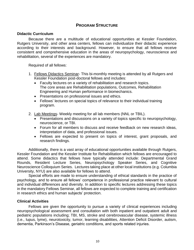## **PROGRAM STRUCTURE**

#### **Didactic Curriculum**

Because there are a multitude of educational opportunities at Kessler Foundation, Rutgers University, and other area centers, fellows can individualize their didactic experience according to their interests and background. However, to ensure that all fellows receive consistent and comprehensive education in the areas of neuropsychology, neuroscience and rehabilitation, several of the experiences are mandatory.

Required of all fellows:

- 1. Fellows Didactics Seminar- This bi-monthly meeting is attended by all Rutgers and Kessler Foundation post-doctoral fellows and includes:
	- Faculty lectures on a variety of rehabilitation and research topics. The core areas are Rehabilitation populations, Outcomes, Rehabilitation Engineering and Human performance in biomechanics.
	- Presentations on professional issues and ethics.
	- Fellows' lectures on special topics of relevance to their individual training program.
- 2. Lab Meetings- Weekly meeting for all lab members (NNL or TBIL).
	- Presentations and discussions on a variety of topics specific to neuropsychology, neuroscience, or TBI.
	- Forum for all members to discuss and receive feedback on new research ideas, interpretation of data, and professional issues.
	- Fellows are expected to present on topics of interest, grant proposals, and research findings.

Additionally, there is a vast array of educational opportunities available through Rutgers, Kessler Foundation and the Kessler Institute for Rehabilitation which fellows are encouraged to attend. Some didactics that fellows have typically attended include: Departmental Grand Rounds, Resident Lecture Series, Neuropsychology Speaker Series, and Cognitive Neuroscience Colloquium Series. Lectures taking place at other local institutions (e.g. Columbia University, NYU) are also available for fellows to attend.

Special efforts are made to ensure understanding of ethical standards in the practice of psychology, and to ensure all fellows' competence in professional practice relevant to cultural and individual differences and diversity. In addition to specific lectures addressing these topics in the mandatory Fellows Seminar, all fellows are expected to complete training and certification in research ethics and human subjects' protection.

#### **Clinical Activities**

Fellows are given the opportunity to pursue a variety of clinical experiences including neuropsychological assessment and consultation with both inpatient and outpatient adult and pediatric populations including; TBI, MS, stroke and cerebrovascular disease, systemic illness (i.e., lupus, lyme), neurotoxicity, tumor, learning disabilities, Attention Deficit Disorder, autism, dementia, Parkinson's Disease, geriatric conditions, and sports related injuries.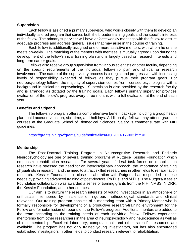#### **Supervision**

Each fellow is assigned a primary supervisor, who works closely with them to develop an individually tailored program that serves both the broader training goals and the specific interests of the fellow. The primary supervisor will have *at least* weekly meetings with the fellow to assure adequate progress and address general issues that may arise in the course of training.

Each fellow is additionally assigned one or more assistive mentors, with whom he or she meets biweekly. The matching of the mentors with mentees is mutually agreed upon during the development of the fellow's initial training plan and is largely based on research interests and long-term career goals.

Fellows also receive group supervision from various scientists or other faculty, depending on the specific requirements of the individual fellowship plan and clinical or research involvement. The nature of the supervisory process is collegial and progressive, with increasing levels of responsibility expected of fellows as they pursue their program goals. For neuropsychology fellows, the majority of supervision comes from licensed psychologists with a background in clinical neuropsychology. Supervision is also provided by the research faculty and is arranged as dictated by the training goals. Each fellow's primary supervisor provides evaluation of the fellow's progress every three months with a full evaluation at the end of each year.

#### **Benefits and Stipend**

The fellowship program offers a comprehensive benefit package including a group health plan, paid accrued vacation, sick time, and holidays. Additionally, fellows may attend graduate courses at the Graduate School of Biomedical Sciences. Salary is commensurate with NIH guidelines.

[https://grants.nih.gov/grants/guide/notice-files/NOT-OD-17-003.html#](https://grants.nih.gov/grants/guide/notice-files/NOT-OD-17-003.html)

#### **Mentorship**

The Post-Doctoral Training Program in Neurocognitive Research and Pediatric Neuropsychology are one of several training programs at Rutgers/ Kessler Foundation which emphasize rehabilitation research. For several years, federal task forces on rehabilitation research have stressed the need for an interdisciplinary approach, the importance of training physiatrists in research, and the need to attract skilled researchers in other fields to rehabilitation research. Kessler Foundation, in close collaboration with Rutgers, has responded to these needs by providing advanced training of post-doctoral Ph.D.'s. and M.D.'s. The Rutgers/ Kessler Foundation collaboration was awarded a series of training grants from the NIH, NMSS, NIDRR, the Kessler Foundation, and other sources.

Our aim is to nurture the research interests of young investigators in an atmosphere of enthusiasm, tempered by insistence on rigorous methodological standards and clinical relevance. Our training program consists of a mentoring team with a Primary Mentor who is formally responsible for development of a productive research-training environment for the Fellow and for submission of reports on the Fellow's progress. Additional mentors are added to the team according to the training needs of each individual fellow. Fellows experience mentorship from other researchers in the area of neuropsychology and neuroscience as well as clinical mentorship. Excellent laboratory, computational, and other scientific resources are available. The program has not only trained young investigators, but has also encouraged established investigators in other fields to conduct research relevant to rehabilitation.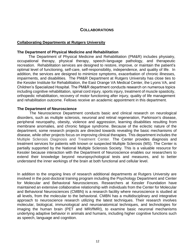## **COLLABORATIONS**

## **Collaborating Departments at Rutgers University**

#### **The Department of Physical Medicine and Rehabilitation**

The Department of Physical Medicine and Rehabilitation (PM&R) includes physiatry, occupational therapy, physical therapy, speech-language pathology, and therapeutic recreation. Rehabilitation services are designed to restore, improve, or maintain the patient's optimal level of functioning, self-care, self-responsibility, independence, and quality of life. In addition, the services are designed to minimize symptoms, exacerbation of chronic illnesses, impairments, and disabilities. The PM&R Department at Rutgers University has close ties to the Kessler Institute for Rehabilitation, the East Orange VA Medical Center, the Lyons VA, and Children's Specialized Hospital. The PM&R department conducts research on numerous topics including cognitive rehabilitation, spinal cord injury, sports injury, treatment of muscle spasticity, orthopedic rehabilitation, recovery of motor functioning after injury, quality of life management and rehabilitation outcome. Fellows receive an academic appointment in this department.

#### **The Department of Neuroscience**

The Neuroscience Department conducts basic and clinical research on neurological disorders, such as multiple sclerosis, neuronal and retinal regeneration, Parkinson's disease, peripheral neuropathy, obesity, violence and aggression, learning disabilities resulting from membrane anomalies, and chronic fatigue syndrome. Because of the eclectic nature of the department, some research projects are directed towards revealing the basic mechanisms of disease, while other projects focus on improving clinical therapies. This department includes the Multiple Sclerosis Diagnosis and Treatment Center. The Center provides diagnosis and treatment services for patients with known or suspected Multiple Sclerosis (MS). The Center is partially supported by the National Multiple Sclerosis Society. This is a valuable resource for Kessler because interaction with the Department of Neuroscience enables our researchers to extend their knowledge beyond neuropsychological tests and measures, and to better understand the inner workings of the brain at both functional and cellular level.

In addition to the ongoing lines of research additional departments at Rutgers University are involved in the post-doctoral training program including the Psychology Department and Center for Molecular and Behavioral Neurosciences. Researchers at Kessler Foundation have maintained an extensive collaborative relationship with individuals from the Center for Molecular and Behavioral Neurosciences (CMBN) is a research facility where neuroscience is studied at all levels, from the molecular to the behavioral. CMBN has a multidisciplinary and integrative approach to neuroscience research utilizing the latest techniques. Their research involves molecular, biological, immunological and neuroanatomical techniques, and technologies for imaging the human brain (PET and MRI/fMRI), to examine basic neuronal mechanisms underlying adaptive behavior in animals and humans, including higher cognitive functions such as speech, language and cognition.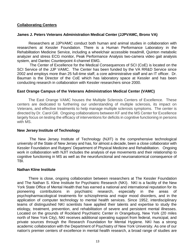#### **Collaborating Centers**

#### **James J. Peters Veterans Administration Medical Center (JJPVAMC, Bronx VA)**

Researchers at JJPVAMC conduct both human and animal studies in collaboration with researchers at Kessler Foundation. There is a Human Performance Laboratory in the Rehabilitation Medicine Service, including a wheelchair accessible treadmill, Quinton metabolic analyzer and stress ECG monitor, Peak Performance Analysis two-camera video gait analysis system, and Dantec Counterpoint 4-channel EMG.

 The Center of Excellence for the Medical Consequences of SCI (CoE) is located on the SCI Service of the JJP VAMC. The Center has been funded by the VA RR&D Service since 2002 and employs more than 25 full-time staff, a core administrative staff and an IT officer. Dr. Bauman is the Director of the CoE which has laboratory space at Kessler and has been conducting research in collaboration with Kessler researchers since 2000.

#### **East Orange Campus of the Veterans Administration Medical Center (VAMC)**

The East Orange VAMC houses the Multiple Sclerosis Centers of Excellence. These centers are dedicated to furthering our understanding of multiple sclerosis, its impact on Veterans, and effective treatments to help manage multiple sclerosis symptoms. The center is directed by Dr. Carol Gill. Ongoing collaborations between KF and the MS Center for Excellence largely focus on testing the efficacy of interventions for deficits in cognitive functioning in persons with MS.

#### **New Jersey Institute of Technology**

The New Jersey Institute of Technology (NJIT) is the comprehensive technological university of the State of New Jersey and has, for almost a decade, been a close collaborator with Kessler Foundation and Rutgers' Department of Physical Medicine and Rehabilitation. Ongoing work in collaboration with NJIT includes the analysis of eye movements and their relationship to cognitive functioning in MS as well as the neurofunctional and neuroanatomical consequence of TBI.

#### **Nathan KIine Institute**

There is close, ongoing collaboration between researchers at The Kessler Foundation and The Nathan S. Kline Institute for Psychiatric Research (NKI). NKI is a facility of the New York State Office of Mental Health that has earned a national and international reputation for its pioneering contributions in psychiatric research, especially in the areas of psychopharmacological treatments for schizophrenia and major mood disorders, and in the application of computer technology to mental health services. Since 1952, interdisciplinary teams of distinguished NKI scientists have applied their talents and expertise to study the etiology, treatment, prevention, and rehabilitation of severe and persistent mental illnesses. Located on the grounds of Rockland Psychiatric Center in Orangeburg, New York (20 miles north of New York City), NKI receives additional operating support from federal, municipal, and private sources through the Research Foundation for Mental Hygiene. NKI has a strong academic collaboration with the Department of Psychiatry of New York University. As one of our nation's premier centers of excellence in mental health research, a broad range of studies are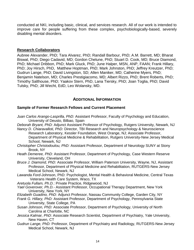conducted at NKI, including basic, clinical, and services research. All of our work is intended to improve care for people suffering from these complex, psychobiologically-based, severely disabling mental disorders.

## **Research Collaborators**

Aubree Alexander, PhD; Tara Alvarez, PhD; Randall Barbour, PhD; A.M. Barrett, MD; Bharat Biswal, PhD; Diego Cadavid, MD; Gordon Chelune, PhD; Stuart D. Cook, MD; Bruce Diamond, PhD; Michael Dribbon, PhD; Mark Gluck, PhD; June Halper, MSN, ANP, FAAN; Frank Hillary, PhD; Joy Hirsch, PhD, Matthew Hoptman, PhD; Mark Johnston, PhD; Jeffrey Kreutzer, PhD; Gudrun Lange, PhD; David Livingston, SD; Allen Maniker, MD; Catherine Myers, PhD; Benjamin Natelson, MD; Charles Prestigiacomo, MD; Albert Rizzo, PhD; Brent Roberts, PhD; Timothy Salthouse, PhD; Yaakov Stern, PhD, Lana Tiersky, PhD; Joan Toglia, PhD; David Tulsky, PhD; Jill Wecht, EdD, Leo Wolansky, MD.

## **ADDITIONAL INFORMATION**

## **Sample of Former Research Fellows and Current Placement**

- *Juan Carlos Arango*-*Lasprilla, PhD:* Assistant Professor, Faculty of Psychology and Education, University of Deusto, Bilbao, Spain
- *Deborah Bryant, PhD:* Adjunct Assistant Professor of Psychology, Rutgers University, Newark, NJ *Nancy D. Chiaravalloti, PhD:* Director, TBI Research and Neuropsychology & Neuroscience
	- Research Laboratory, Kessler Foundation, West Orange, NJ; Associate Professor, Department of Physical Medicine & Rehabilitation, Rutgers University-New Jersey Medical School, Newark, NJ
- *Christopher Christodoulou, PhD:* Assistant Professor, Department of Neurology SUNY at Stony Brook, NY
- *Heath Demeree, PhD:* Assistant Professor, Department of Psychology, Case Western Reserve University, Cleveland, OH
- *Bruce J. Diamond, PhD:* Associate Professor, William Paterson University, Wayne, NJ, Assistant Professor, Department of Physical Medicine and Rehabilitation, RUTGERS-New Jersey Medical School, Newark, NJ
- *Lawanda Ford-*Johnson, PhD: Psychologist, Mental Health & Behavioral Medicine, Central Texas Veterans Health Care System, Waco, TX

*Aretuola Fullam, Ph.D.*: Private Practice, Ridgewood, NJ

- *Yael Goverover, Ph.D.-* Assistant Professor, Occupational Therapy Department, New York University, New York, NY
- *Elizabeth Guadino, PhD:* Adjunct Professor, Nassau Community College, Garden City, NY
- *Frank G. Hillary, PhD:* Assistant Professor, Department of Psychology, Pennsylvania State University, State College, PA
- *Susan Johnson, PhD:* Associate Professor, Department of Psychology, University of North Carolina at Charlotte, NC
- *Jessica Kalmar, PhD*: Associate Research Scientist, Department of Psychiatry, Yale University, New Haven, CT
- *Gudrun Lange, PhD:* Professor, Department of Psychiatry and Radiology, RUTGERS-New Jersey Medical School, Newark, NJ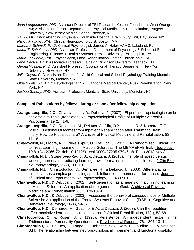*Jean Lengenfelder, PhD:* Assistant Director of TBI Research, Kessler Foundation, West Orange, NJ; Assistant Professor, Department of Physical Medicine & Rehabilitation, Rutgers University-New Jersey Medical School, Newark, NJ

*Yali Li, MD, PhD:* Attending Physician, Southside Hospital, Brain Injury Unit, Bay Shore, NY *Nancy Madigan, PhD:* Clinical Neuropsychologist, Boston, MA

*Margaret Schmidt, Ph.D.* Clinical Psychologist, James A. Haley VAMC, Lakeland, FL

- *Maria T. Schultheis, PhD:* Associate Professor, Department of Psychology & School of Biomedical Engineering, Science & Health Systems, Drexel University, Philadelphia, PA
- *Marla Shawaryn, PhD:* Psychologist, Moss Rehabilitation Center, Philadelphia, PA
- *Lana Tiersky, PhD:* Associate Professor, Fairleigh Dickinson University, Teaneck, NJ
- *Gerald Voelbel, Ph*D: Assistant Professor, Occupational Therapy Department, New York University, New York, NY
- *Julia Coyne, PhD:* Assistant Director for Child Clinical and School Psychology Training Montclair State University, Montclair, NJ
- *Olga Nikelshpur, Ph*D: Psychologist at [NYU Langone Medical Center, Rusk Rehabilitation,](https://www.facebook.com/pages/NYU-Langone-Medical-Center-Rusk-Rehabilitation/1454975724737535?ref=br_rs) New York, NY

*Joshua Sandry, PhD*: Assistant Professor, Montclair State University, Montclair, NJ

## **Sample of Publications by fellows during or soon after fellowship completion**

- **Arango-Lasprilla, J.C.,** Chiaravalloti, N.D., DeLuca, J. (2007). El perfil neuropsicologico en la esclerosis multiple (translated: Neuropsychological Profile of Multiple Sclerosis). Psicothema, 19 (1), 1-6.
- **Arango-Lasprilla, J.C.,** Rosenthal, M., DeLuca, J., Cifu, D.X., Hanks, R. & Komaraoff, E. (2007)Functional Outcomes from Inpatient Rehabilitation after Traumatic Brain Injury: How do Hispanics fare? Archives of Physical Medicine and Rehabilitation, 88, 11-18.
- Chiaravalloti, N., Moore, N.B., **Nikelshpur, O.,** DeLuca, J. (2013). A Randomized Clinical Trial to Treat Learning Impairment in Multiple Sclerosis: The MEMREHAB trial. Neurology. 10;81(24):2066-72. doi: 10.1212/01.wnl.0000437295.97946.a8. Epub 2013 Nov 8.
- Chiaravalloti, N. D., **Stojanovic-Radic, J.,** & DeLuca, J. (2013). The role of speed versus working memory in predicting learning new information in multiple sclerosis. J Clin Exp Neuropsychology, *35*(2), 180-191.
- Chiaravalloti, N.D., Christodoulou, C., **Demaree, H.,** & DeLuca, J. (2003). Differentiating simple versus complex processing speed: Influence on memory performance. Journal of Clinical and Experimental Neuropsychology, 25, 489-501.
- **Chiaravalloti, N.D.,** & DeLuca, J. (2002). Self-generation as a means of maximizing learning in Multiple Sclerosis: An application of the generation effect. Archives of Physical Medicine and Rehabilitation, 83, 1070-1079.
- **Chiaravalloti, N.D.,** & DeLuca, J. (2003). Assessing the behavioral consequences of Multiple Sclerosis: An application of the Frontal Systems Behavior Scale (FrSBe). Cognitive and Behavioral Neurology, 16(1), 54-67.
- **Chiaravalloti, N.D.**, Demaree, H., Guadino, E.A., & DeLuca, J. (2003). Can the repetition effect maximize learning in multiple sclerosis? Clinical Rehabilitation, 17(1), 58-68.
- **Christodoulou, C.,** & Rosen, J. J. (1995). Persistence: An independent factor in the Tridimensional Personality Questionnaire. Psychological Reports, 76, 1307-1314.
- **Christodoulou, C.,** DeLuca, J., Lange, G., Johnson, S.K., Korn, L. Gaudino, E., & Natelson, B.H. The relationship between neuropsychological impairment and functional disability in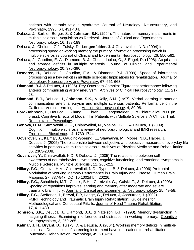patients with chronic fatigue syndrome. Journal of Neurology, Neurosurgery, and Psychiatry, 1998, 64, 431-434.

- DeLuca, J., Barbieri-Berger, S. & **Johnson, S.K.** (1994). The nature of memory impairments in multiple sclerosis: Acquisition vs Retrieval. Journal of Clinical and Experimental Neuropsychology, 16, 183-189.
- DeLuca, J., Chelune, G.J., Tulsky, D., **Lengenfelder, J**. & Chiaravalloti, N.D. (2004) Is processing speed or working memory the primary information processing deficit in multiple sclerosis? Journal of Clinical and Experimental Neuropsychology. 26, 550-562.
- DeLuca, J., Gaudino, E. A., Diamond, B. J., Christodoulou, C., & Engel, R. (1998). Acquisition and storage deficits in multiple sclerosis. Journal of Clinical and Experimental Neuropsychology, 20, 376-390.
- **Demaree, H.,** DeLuca, J., Gaudino, E.A., & Diamond, B.J. (1999). Speed of information processing as a key deficit in multiple sclerosis: Implications for rehabilitation. Journal of Neurology, Neurosurgery, and Psychiatry, 67, 661-663.
- **Diamond, B.J.** & DeLuca, J. (1996). Rey-Osterrieth Complex Figure test performance following anterior communicating artery aneurysm. Archives of Clinical Neuropsychology, 11, 21- 28.
- **Diamond, B.J.,** DeLuca, J., **Johnson, S.K.,** & Kelly, S.M. (1997). Verbal learning in anterior communicating artery aneurysm and multiple sclerosis patients: Performance on the California Verbal Learning test. Applied Neuropsychology, 4, 89-98.
- **Ford-Johnson, L.,** DeLuca, J., Zhang, J., Elovic, E., Lengenfelder, J., & Chiaravalloti, N.D. (in press). Cognitive Effects of Modafinil in Patients with Multiple Sclerosis: A Clinical Trial. Rehabilitation Psychology.
- **Genova, H. M., Sumowski, J. F.**, Chiaravalloti, N., Voelbel, G. T., & DeLuca, J. (2009). Cognition in multiple sclerosis: a review of neuropsychological and fMRI research. Frontiers in Bioscience*,* 14, 1730-1744.
- **Goverover, Y.,** Kalmar, J., Gaudino-Goering, E., **Shawaryn, M.,** Moore, N.B., Halper, J. DeLuca, J. (2005) The relationship between subjective and objective measures of everyday life activities in persons with multiple sclerosis. Archives of Physical Medicine and Rehabilitation, 86, 2303-2308.
- **Goverover, Y.,** Chiaravalloti, N.D. & DeLuca, J. (2005) The relationship between selfawareness of neurobehavioral symptoms, cognitive functioning, and emotional symptoms in Multiple Sclerosis. Multiple Sclerosis , 11, 203-212.
- **Hillary, F.G**., Genova. H.M., Chiaravalloti, N.D., Rypma, B. & DeLuca, J. (2006) Prefrontal Modulation of Working Memory Performance in Brain Injury and Disease. Human Brain Mapping, 27, 837-847. DOI 10.1002/hbm.20226.
- **Hillary, F.G.,** Schultheis, M.T., Challis, B.H. , Carnivale, G., Galski, T., & DeLuca, J. (2003) Spacing of repetitions improves learning and memory after moderate and severe traumatic brain injury. Journal of Clinical and Experimental Neuropsychology. 25, 49-58.
- **Hillary, F.G.,** Steffener, J., Biswal, B.B, Lange, G., DeLuca, J, Ashburner, J. (2002). FMRI Technology and Traumatic Brain Injury Rehabilitation: Guidelines for Methodological and Conceptual Pitfalls. Journal of Head Trauma Rehabilitation, 17, 411-430.
- **Johnson, S.K.**, DeLuca, J., Diamond, B.J., & Natelson, B.H. (1998). Memory dysfunction in fatiguing illness: Examining interference and distraction in working memory. Cognitive Neuropsychiatry, 3, 269-285.
- **Kalmar, J. H**., **Bryant, D**., Tulsky, D. & DeLuca, J. (2004). Working memory deficits in multiple sclerosis: Does choice of screening instrument have implications for rehabilitation outcome? Rehabilitation Psychology, 49, 213-218.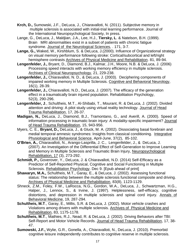- **Krch, D.,** Sumowski, J.F., DeLuca, J., Chiaravalloti, N. (2011). Subjective memory in multiple sclerosis is associated with initial-trial learning performance. Journal of the International Neuropsychological Society, In press.
- Lange, G., DeLuca, J., Maldjian, J.A., Lee, H.J., **Tiersky, L**. & Natelson, B.H. (1999). Brain MRI abnormalities exist in a subset of patients with chronic fatigue syndrome. Journal of the Neurological Sciences, . 171, 3-7.
- **Lange, G.,** Waked, W., Kirshblum, S. & DeLuca, J.(2000). Influence of Organizational strategy on visual memory performance following stroke: Cortical/subcortical and left/right hemisphere contrasts Archives of Physical Medicine and Rehabilitation. 81, 89-94.
- **Lengenfelder, J.,** Bryant, D., Diamond, B.J., Kalmar, J.H., Moore, N.B. & DeLuca, J. (2006) Processing speed interacts with working memory efficiency in multiple sclerosis. Archives of Clinical Neuropsychology, 21, 229-238.
- **Lengenfelder, J.,** Chiaravalloti, N. D., & DeLuca, J. (2003). Deciphering components of impaired working memory in Multiple Sclerosis. Cognitive and Behavioral Neurology, 16(1), 28-39.
- **Lengenfelder, J.,** Chiaravalloti, N.D., DeLuca, J. (2007). The efficacy of the generation effect in a traumatically brain injured population. Rehabilitation Psychology, 52(3), 290-296.
- **Lengenfelder, J**., Schultheis, M.T., Al-Shibabi, T., Mourant, R. & DeLuca, J. (2002). Divided attention and driving: A pilot study using virtual reality technology. Journal of Head Trauma Rehabilitation, 17, 26-37.
- **Madigan, N.,** DeLuca, J., Diamond, B.J., Tramontano, G., and Averill, A. (2000). Speed of information processing in traumatic brain injury: A modality-specific impairment? Journal of Head Trauma Rehabilitation, 15, 943-956.
- Myers, C. E., **Bryant, D.,** DeLuca, J., & Gluck, M. A. (2002). Dissociating basal forebrain and medial temporal amnesic syndromes: Insights from classical conditioning. Integrative Physiological and Behavioral Science, April-June, 37(2), 85-102.
- **O'Brien, A.,** Chiaravalloti, N., Arango-Lasprilla, J. C., Lengenfelder, J., & DeLuca, J. (2007). An Investigation of the Differential Effect of Self-Generation to Improve Learning and Memory in Multiple Sclerosis and Traumatic Brain Injury, Neuropsychological Rehabilitation, 17 (3), 273-292.
- **Schmidt, P.,** Goverover, Y., DeLuca, J. & Chiaravalloti, N.D. (2014) Self-Efficacy as a Predictor of Self-Reported Physical, Cognitive and Social Functioning in Multiple Sclerosis. Rehabilitation Psychology. Dec 9. [Epub ahead of print]
- **Shawaryn, M.A.,** Schultheis, M.T., Garay, E., & DeLuca, J. (2002). Assessing functional status: The relationship between the multiple sclerosis functional composite and driving. Archives of Physical Medicine and Rehabilitation, 83(8), 1123-1129.
- Shneck, Z.M., Foley, F.W., LaRocca, N.G., Gordon, W.A., DeLuca, J., Schwartzman, H.G., Halper, J., Lennox, S., & Irvine, J. (1997). Helplessness, self-efficacy, cognitive distortions, and depression in multiple sclerosis and spinal cord injury. Annals of Behavioral Medicine, 19, 287-294.
- **Schultheis, M.T**., Garay, E., Millis, S.R. & DeLuca, J. (2002). Motor vehicle crashes and Violations among drivers with multiple sclerosis. Archives of Physical Medicine and Rehabilitation, 83, 1175-1178.
- **Schultheis, M.T**., Mathies, R.J., Nead, R. & DeLuca, J. (2002). Driving Behaviors after TBI: Self-Report and Motor Vehicle Records. Journal of Head Trauma Rehabilitation, 17, 38- 47.
- **Sumowski, J.F.,** Wylie, G.R., Gonella, A., Chiaravalloti, N., DeLuca, J. (2010). Premorbid cognitive leisure independently contributes to cognitive reserve in multiple sclerosis.